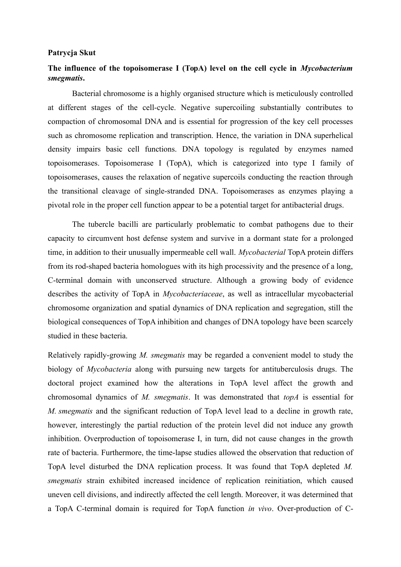## **Patrycja Skut**

## **The influence of the topoisomerase I (TopA) level on the cell cycle in** *Mycobacterium smegmatis***.**

Bacterial chromosome is a highly organised structure which is meticulously controlled at different stages of the cell-cycle. Negative supercoiling substantially contributes to compaction of chromosomal DNA and is essential for progression of the key cell processes such as chromosome replication and transcription. Hence, the variation in DNA superhelical density impairs basic cell functions. DNA topology is regulated by enzymes named topoisomerases. Topoisomerase I (TopA), which is categorized into type I family of topoisomerases, causes the relaxation of negative supercoils conducting the reaction through the transitional cleavage of single-stranded DNA. Topoisomerases as enzymes playing a pivotal role in the proper cell function appear to be a potential target for antibacterial drugs.

The tubercle bacilli are particularly problematic to combat pathogens due to their capacity to circumvent host defense system and survive in a dormant state for a prolonged time, in addition to their unusually impermeable cell wall. *Mycobacterial* TopA protein differs from its rod-shaped bacteria homologues with its high processivity and the presence of a long, C-terminal domain with unconserved structure. Although a growing body of evidence describes the activity of TopA in *Mycobacteriaceae*, as well as intracellular mycobacterial chromosome organization and spatial dynamics of DNA replication and segregation, still the biological consequences of TopA inhibition and changes of DNA topology have been scarcely studied in these bacteria.

Relatively rapidly-growing *M. smegmatis* may be regarded a convenient model to study the biology of *Mycobacteria* along with pursuing new targets for antituberculosis drugs. The doctoral project examined how the alterations in TopA level affect the growth and chromosomal dynamics of *M. smegmatis*. It was demonstrated that *topA* is essential for *M. smegmatis* and the significant reduction of TopA level lead to a decline in growth rate, however, interestingly the partial reduction of the protein level did not induce any growth inhibition. Overproduction of topoisomerase I, in turn, did not cause changes in the growth rate of bacteria. Furthermore, the time-lapse studies allowed the observation that reduction of TopA level disturbed the DNA replication process. It was found that TopA depleted *M. smegmatis* strain exhibited increased incidence of replication reinitiation, which caused uneven cell divisions, and indirectly affected the cell length. Moreover, it was determined that a TopA C-terminal domain is required for TopA function *in vivo*. Over-production of C-